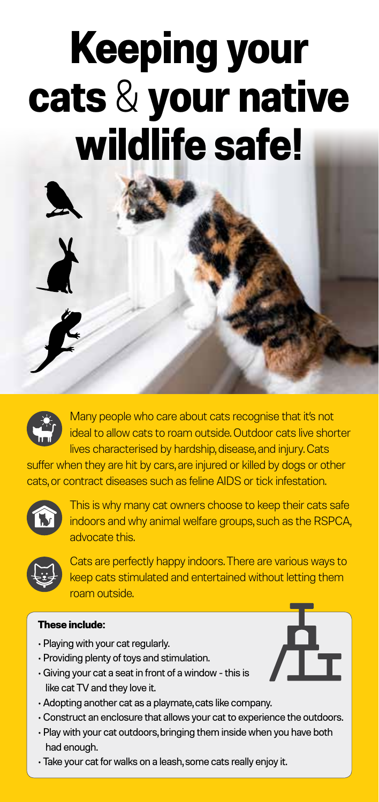# **Keeping your cats** & **your native wildlife safe!**



Y

Many people who care about cats recognise that it's not ideal to allow cats to roam outside. Outdoor cats live shorter lives characterised by hardship, disease, and injury. Cats

suffer when they are hit by cars, are injured or killed by dogs or other cats, or contract diseases such as feline AIDS or tick infestation.



This is why many cat owners choose to keep their cats safe indoors and why animal welfare groups, such as the RSPCA, advocate this.



Cats are perfectly happy indoors. There are various ways to keep cats stimulated and entertained without letting them roam outside.

#### **These include:**

- Playing with your cat regularly.
- Providing plenty of toys and stimulation.
- Giving your cat a seat in front of a window this is like cat TV and they love it.
- Adopting another cat as a playmate, cats like company.
- Construct an enclosure that allows your cat to experience the outdoors.
- Play with your cat outdoors, bringing them inside when you have both had enough.
- Take your cat for walks on a leash, some cats really enjoy it.

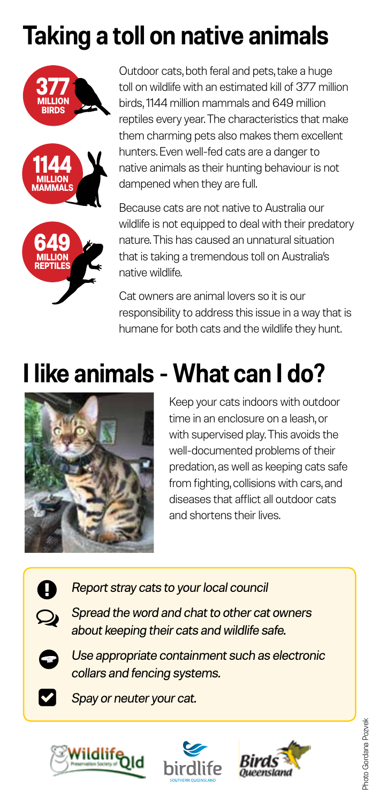## **Taking a toll on native animals**







Outdoor cats, both feral and pets, take a huge toll on wildlife with an estimated kill of 377 million birds, 1144 million mammals and 649 million reptiles every year. The characteristics that make them charming pets also makes them excellent hunters. Even well-fed cats are a danger to native animals as their hunting behaviour is not dampened when they are full.

Because cats are not native to Australia our wildlife is not equipped to deal with their predatory nature. This has caused an unnatural situation that is taking a tremendous toll on Australia's native wildlife.

Cat owners are animal lovers so it is our responsibility to address this issue in a way that is humane for both cats and the wildlife they hunt.

### **I like animals - What can I do?**



Keep your cats indoors with outdoor time in an enclosure on a leash, or with supervised play. This avoids the well-documented problems of their predation, as well as keeping cats safe from fighting, collisions with cars, and diseases that afflict all outdoor cats and shortens their lives.

*Report stray cats to your local council*



*Spread the word and chat to other cat owners about keeping their cats and wildlife safe.*



V

*Use appropriate containment such as electronic collars and fencing systems.*

*Spay or neuter your cat.*